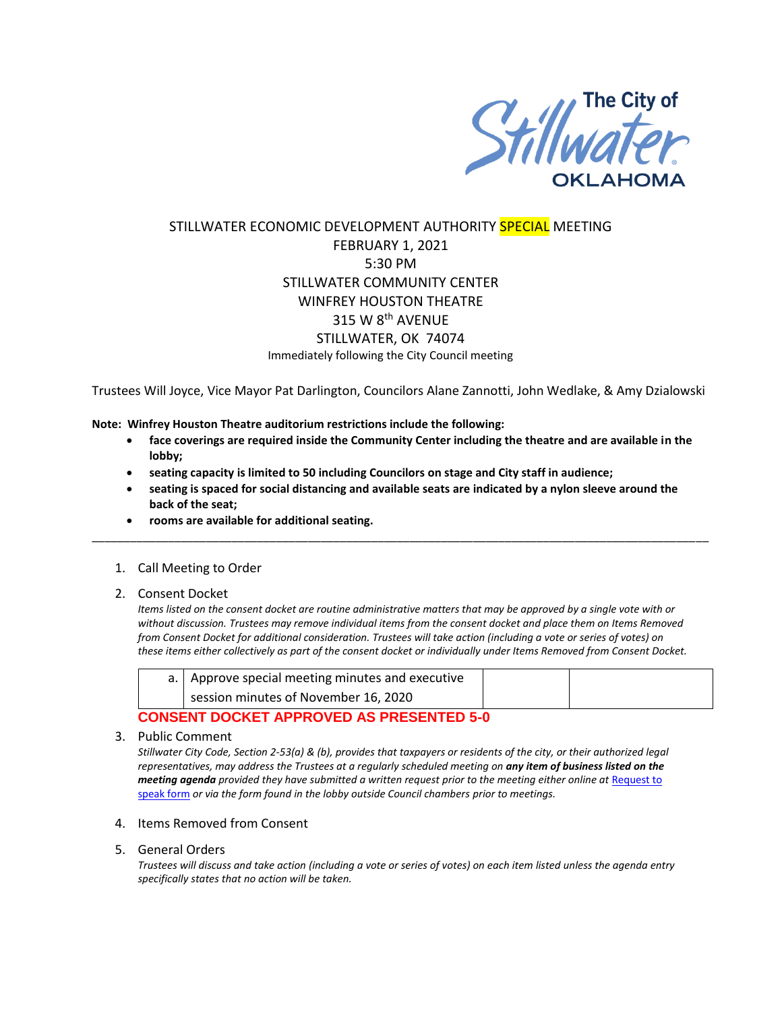

## STILLWATER ECONOMIC DEVELOPMENT AUTHORITY SPECIAL MEETING FEBRUARY 1, 2021 5:30 PM STILLWATER COMMUNITY CENTER WINFREY HOUSTON THEATRE 315 W 8th AVENUE STILLWATER, OK 74074 Immediately following the City Council meeting

Trustees Will Joyce, Vice Mayor Pat Darlington, Councilors Alane Zannotti, John Wedlake, & Amy Dzialowski

**Note: Winfrey Houston Theatre auditorium restrictions include the following:**

- **face coverings are required inside the Community Center including the theatre and are available in the lobby;**
- **seating capacity is limited to 50 including Councilors on stage and City staff in audience;**
- **seating is spaced for social distancing and available seats are indicated by a nylon sleeve around the back of the seat;**

\_\_\_\_\_\_\_\_\_\_\_\_\_\_\_\_\_\_\_\_\_\_\_\_\_\_\_\_\_\_\_\_\_\_\_\_\_\_\_\_\_\_\_\_\_\_\_\_\_\_\_\_\_\_\_\_\_\_\_\_\_\_\_\_\_\_\_\_\_\_\_\_\_\_\_\_\_\_\_\_\_\_\_\_\_\_\_\_\_\_\_\_\_\_\_\_\_

- **rooms are available for additional seating.**
- 1. Call Meeting to Order
- 2. Consent Docket

*Items listed on the consent docket are routine administrative matters that may be approved by a single vote with or without discussion. Trustees may remove individual items from the consent docket and place them on Items Removed from Consent Docket for additional consideration. Trustees will take action (including a vote or series of votes) on these items either collectively as part of the consent docket or individually under Items Removed from Consent Docket.*

| a.   Approve special meeting minutes and executive |  |
|----------------------------------------------------|--|
| session minutes of November 16, 2020               |  |

## **CONSENT DOCKET APPROVED AS PRESENTED 5-0**

3. Public Comment

*Stillwater City Code, Section 2-53(a) & (b), provides that taxpayers or residents of the city, or their authorized legal representatives, may address the Trustees at a regularly scheduled meeting on any item of business listed on the meeting agenda provided they have submitted a written request prior to the meeting either online at Request to* [speak form](http://stillwater.org/page/home/government/mayor-city-council/meetings-agendas-minutes/online-request-to-speak-at-city-council) *or via the form found in the lobby outside Council chambers prior to meetings.*

- 4. Items Removed from Consent
- 5. General Orders

*Trustees will discuss and take action (including a vote or series of votes) on each item listed unless the agenda entry specifically states that no action will be taken.*